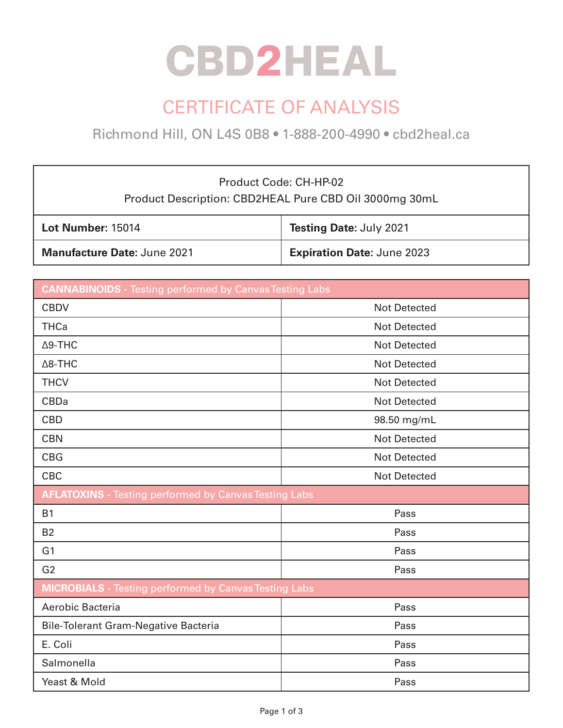# **CBD2HEAL**

## CERTIFICATE OF ANALYSIS

Richmond Hill, ON L4S 0B8 • 1-888-200-4990 • cbd2heal.ca

### Product Code: CH-HP-02 Product Description: CBD2HEAL Pure CBD Oil 3000mg 30mL

| Lot Number: 15014                  | Testing Date: July 2021           |
|------------------------------------|-----------------------------------|
| <b>Manufacture Date: June 2021</b> | <b>Expiration Date: June 2023</b> |

| <b>CANNABINOIDS</b> - Testing performed by Canvas Testing Labs |                     |  |
|----------------------------------------------------------------|---------------------|--|
| <b>CBDV</b>                                                    | <b>Not Detected</b> |  |
| <b>THCa</b>                                                    | <b>Not Detected</b> |  |
| $\Delta$ 9-THC                                                 | <b>Not Detected</b> |  |
| $\Delta$ 8-THC                                                 | <b>Not Detected</b> |  |
| <b>THCV</b>                                                    | <b>Not Detected</b> |  |
| <b>CBDa</b>                                                    | <b>Not Detected</b> |  |
| <b>CBD</b>                                                     | 98.50 mg/mL         |  |
| <b>CBN</b>                                                     | <b>Not Detected</b> |  |
| <b>CBG</b>                                                     | <b>Not Detected</b> |  |
| <b>CBC</b>                                                     | <b>Not Detected</b> |  |
| <b>AFLATOXINS</b> - Testing performed by Canvas Testing Labs   |                     |  |
| <b>B1</b>                                                      | Pass                |  |
| <b>B2</b>                                                      | Pass                |  |
| G <sub>1</sub>                                                 | Pass                |  |
| G <sub>2</sub>                                                 | Pass                |  |
| <b>MICROBIALS</b> - Testing performed by Canvas Testing Labs   |                     |  |
| Aerobic Bacteria                                               | Pass                |  |
| <b>Bile-Tolerant Gram-Negative Bacteria</b>                    | Pass                |  |
| E. Coli                                                        | Pass                |  |
| Salmonella                                                     | Pass                |  |
| Yeast & Mold                                                   | Pass                |  |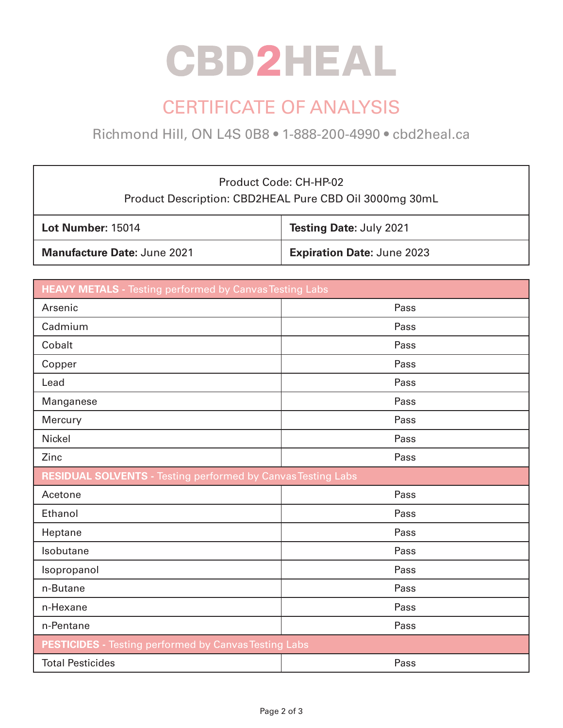# **CBD2HEAL**

## CERTIFICATE OF ANALYSIS

Richmond Hill, ON L4S 0B8 • 1-888-200-4990 • cbd2heal.ca

### Product Code: CH-HP-02 Product Description: CBD2HEAL Pure CBD Oil 3000mg 30mL

| Lot Number: 15014                  | Testing Date: July 2021           |
|------------------------------------|-----------------------------------|
| <b>Manufacture Date: June 2021</b> | <b>Expiration Date: June 2023</b> |

| <b>HEAVY METALS</b> - Testing performed by Canvas Testing Labs      |      |  |
|---------------------------------------------------------------------|------|--|
| Arsenic                                                             | Pass |  |
| Cadmium                                                             | Pass |  |
| Cobalt                                                              | Pass |  |
| Copper                                                              | Pass |  |
| Lead                                                                | Pass |  |
| Manganese                                                           | Pass |  |
| Mercury                                                             | Pass |  |
| <b>Nickel</b>                                                       | Pass |  |
| Zinc                                                                | Pass |  |
| <b>RESIDUAL SOLVENTS - Testing performed by Canvas Testing Labs</b> |      |  |
| Acetone                                                             | Pass |  |
| Ethanol                                                             | Pass |  |
| Heptane                                                             | Pass |  |
| Isobutane                                                           | Pass |  |
| Isopropanol                                                         | Pass |  |
| n-Butane                                                            | Pass |  |
| n-Hexane                                                            | Pass |  |
| n-Pentane                                                           | Pass |  |
| <b>PESTICIDES</b> - Testing performed by Canvas Testing Labs        |      |  |
| <b>Total Pesticides</b>                                             | Pass |  |